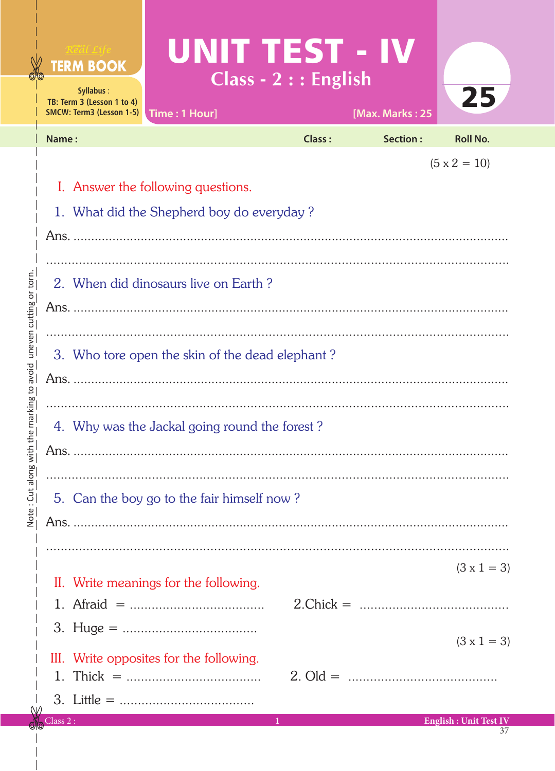|                                                 | UNIT TEST - IV<br>Real Life<br><b>TERM BOOK</b><br>Syllabus:<br>TB: Term 3 (Lesson 1 to 4)<br><b>SMCW: Term3 (Lesson 1-5)</b><br>Time: 1 Hour]                                                    | Class - 2 : : English | [Max. Marks: 25                                                                                                                                                                                                                                                                                                 | 25                                       |  |  |
|-------------------------------------------------|---------------------------------------------------------------------------------------------------------------------------------------------------------------------------------------------------|-----------------------|-----------------------------------------------------------------------------------------------------------------------------------------------------------------------------------------------------------------------------------------------------------------------------------------------------------------|------------------------------------------|--|--|
|                                                 | Name:                                                                                                                                                                                             | Class:                | Section:                                                                                                                                                                                                                                                                                                        | <b>Roll No.</b>                          |  |  |
| uneven cutting or torn                          | $(5 \times 2 = 10)$<br>I. Answer the following questions.<br>1. What did the Shepherd boy do everyday?<br>2. When did dinosaurs live on Earth?<br>3. Who tore open the skin of the dead elephant? |                       |                                                                                                                                                                                                                                                                                                                 |                                          |  |  |
| avoid<br>the marking to<br>Note: Cut along with | 4. Why was the Jackal going round the forest?<br>5. Can the boy go to the fair himself now?                                                                                                       |                       |                                                                                                                                                                                                                                                                                                                 |                                          |  |  |
|                                                 | II. Write meanings for the following.<br>III. Write opposites for the following.                                                                                                                  |                       | 2. Old = $\ldots$ = $\ldots$ = $\ldots$ = $\ldots$ = $\ldots$ = $\ldots$ = $\ldots$ = $\ldots$ = $\ldots$ = $\ldots$ = $\ldots$ = $\ldots$ = $\ldots$ = $\ldots$ = $\ldots$ = $\ldots$ = $\ldots$ = $\ldots$ = $\ldots$ = $\ldots$ = $\ldots$ = $\ldots$ = $\ldots$ = $\ldots$ = $\ldots$ = $\ldots$ = $\ldots$ | $(3 \times 1 = 3)$<br>$(3 \times 1 = 3)$ |  |  |
|                                                 | Class 2:                                                                                                                                                                                          | 1.                    |                                                                                                                                                                                                                                                                                                                 | <b>English: Unit Test IV</b>             |  |  |